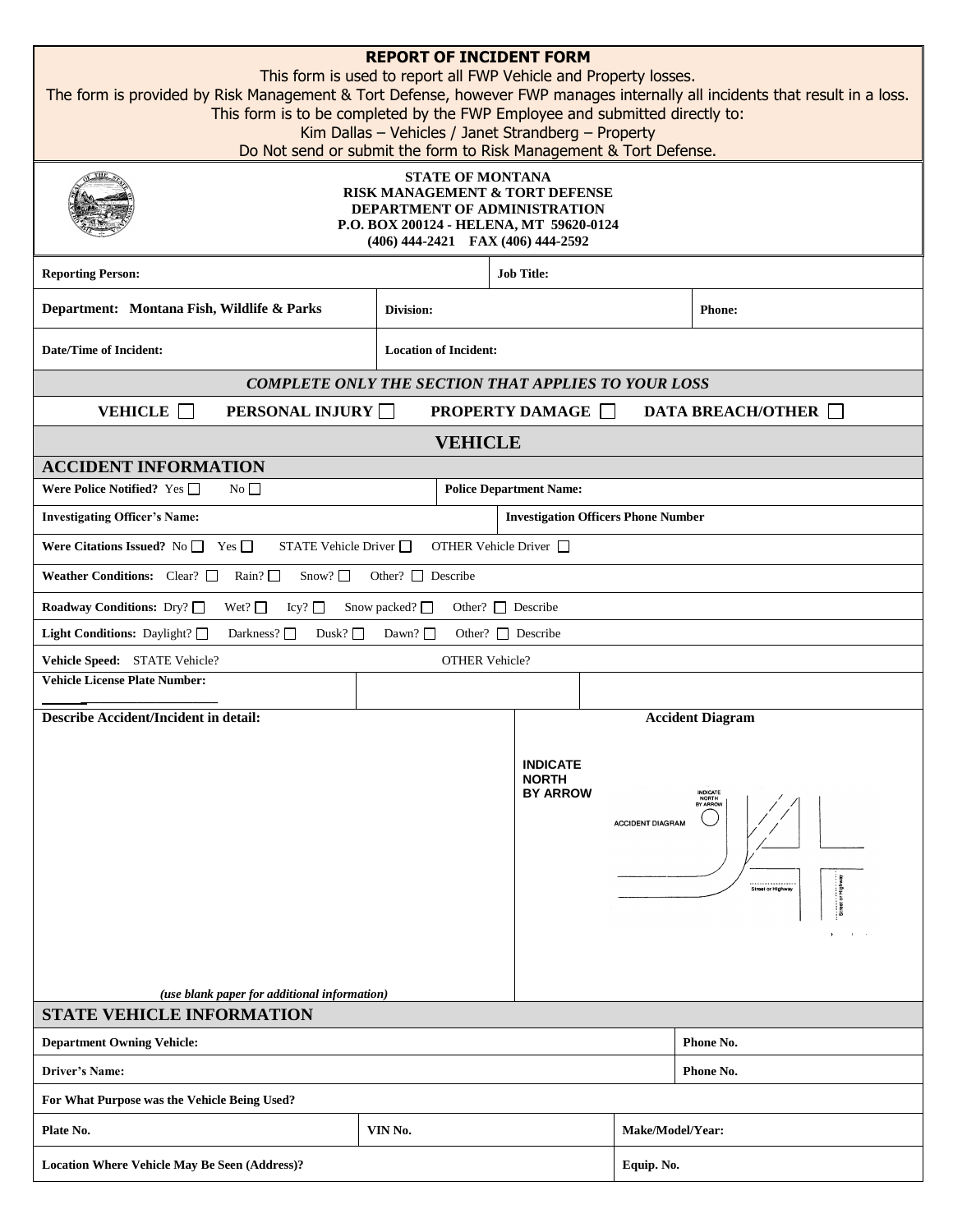| <b>REPORT OF INCIDENT FORM</b><br>This form is used to report all FWP Vehicle and Property losses.<br>The form is provided by Risk Management & Tort Defense, however FWP manages internally all incidents that result in a loss.<br>This form is to be completed by the FWP Employee and submitted directly to:<br>Kim Dallas - Vehicles / Janet Strandberg - Property<br>Do Not send or submit the form to Risk Management & Tort Defense.<br><b>STATE OF MONTANA</b><br>RISK MANAGEMENT & TORT DEFENSE<br>DEPARTMENT OF ADMINISTRATION<br>P.O. BOX 200124 - HELENA, MT 59620-0124<br>(406) 444-2421 FAX (406) 444-2592<br><b>Job Title:</b> |                              |                       |                                                    |                         |                                                    |  |  |  |  |  |
|------------------------------------------------------------------------------------------------------------------------------------------------------------------------------------------------------------------------------------------------------------------------------------------------------------------------------------------------------------------------------------------------------------------------------------------------------------------------------------------------------------------------------------------------------------------------------------------------------------------------------------------------|------------------------------|-----------------------|----------------------------------------------------|-------------------------|----------------------------------------------------|--|--|--|--|--|
| <b>Reporting Person:</b><br>Department: Montana Fish, Wildlife & Parks                                                                                                                                                                                                                                                                                                                                                                                                                                                                                                                                                                         | Division:                    |                       |                                                    |                         | <b>Phone:</b>                                      |  |  |  |  |  |
| <b>Date/Time of Incident:</b>                                                                                                                                                                                                                                                                                                                                                                                                                                                                                                                                                                                                                  | <b>Location of Incident:</b> |                       |                                                    |                         |                                                    |  |  |  |  |  |
| <b>COMPLETE ONLY THE SECTION THAT APPLIES TO YOUR LOSS</b>                                                                                                                                                                                                                                                                                                                                                                                                                                                                                                                                                                                     |                              |                       |                                                    |                         |                                                    |  |  |  |  |  |
| VEHICLE <b>D</b><br><b>PERSONAL INJURY</b>                                                                                                                                                                                                                                                                                                                                                                                                                                                                                                                                                                                                     |                              |                       | <b>PROPERTY DAMAGE</b>                             |                         | <b>DATA BREACH/OTHER</b>                           |  |  |  |  |  |
|                                                                                                                                                                                                                                                                                                                                                                                                                                                                                                                                                                                                                                                |                              |                       |                                                    |                         |                                                    |  |  |  |  |  |
| <b>VEHICLE</b><br><b>ACCIDENT INFORMATION</b>                                                                                                                                                                                                                                                                                                                                                                                                                                                                                                                                                                                                  |                              |                       |                                                    |                         |                                                    |  |  |  |  |  |
| No<br>Were Police Notified? Yes $\Box$                                                                                                                                                                                                                                                                                                                                                                                                                                                                                                                                                                                                         |                              |                       | <b>Police Department Name:</b>                     |                         |                                                    |  |  |  |  |  |
| <b>Investigating Officer's Name:</b>                                                                                                                                                                                                                                                                                                                                                                                                                                                                                                                                                                                                           |                              |                       | <b>Investigation Officers Phone Number</b>         |                         |                                                    |  |  |  |  |  |
| Were Citations Issued? No $\Box$ Yes $\Box$<br>OTHER Vehicle Driver $\Box$<br>STATE Vehicle Driver $\Box$                                                                                                                                                                                                                                                                                                                                                                                                                                                                                                                                      |                              |                       |                                                    |                         |                                                    |  |  |  |  |  |
| Weather Conditions: Clear? $\Box$ Rain? $\Box$<br>Snow? $\square$<br>Other? $\Box$ Describe                                                                                                                                                                                                                                                                                                                                                                                                                                                                                                                                                    |                              |                       |                                                    |                         |                                                    |  |  |  |  |  |
| Wet? $\square$<br>Snow packed?<br>Other? $\Box$ Describe<br><b>Roadway Conditions:</b> Dry? □<br>Icy?                                                                                                                                                                                                                                                                                                                                                                                                                                                                                                                                          |                              |                       |                                                    |                         |                                                    |  |  |  |  |  |
| Dusk? $\Box$<br>Other? $\Box$ Describe<br>Light Conditions: Daylight? $\square$<br>Darkness? $\Box$<br>Dawn? $\Box$                                                                                                                                                                                                                                                                                                                                                                                                                                                                                                                            |                              |                       |                                                    |                         |                                                    |  |  |  |  |  |
| Vehicle Speed: STATE Vehicle?                                                                                                                                                                                                                                                                                                                                                                                                                                                                                                                                                                                                                  |                              | <b>OTHER Vehicle?</b> |                                                    |                         |                                                    |  |  |  |  |  |
| <b>Vehicle License Plate Number:</b>                                                                                                                                                                                                                                                                                                                                                                                                                                                                                                                                                                                                           |                              |                       |                                                    |                         |                                                    |  |  |  |  |  |
| <b>Describe Accident/Incident in detail:</b>                                                                                                                                                                                                                                                                                                                                                                                                                                                                                                                                                                                                   |                              |                       |                                                    |                         | <b>Accident Diagram</b>                            |  |  |  |  |  |
| (use blank paper for additional information)                                                                                                                                                                                                                                                                                                                                                                                                                                                                                                                                                                                                   |                              |                       | <b>INDICATE</b><br><b>NORTH</b><br><b>BY ARROW</b> | <b>ACCIDENT DIAGRAM</b> | INDICATE<br>NORTH<br>BY ARROW<br>Street or Highway |  |  |  |  |  |
| <b>STATE VEHICLE INFORMATION</b>                                                                                                                                                                                                                                                                                                                                                                                                                                                                                                                                                                                                               |                              |                       |                                                    |                         |                                                    |  |  |  |  |  |
| <b>Department Owning Vehicle:</b>                                                                                                                                                                                                                                                                                                                                                                                                                                                                                                                                                                                                              |                              | Phone No.             |                                                    |                         |                                                    |  |  |  |  |  |
| <b>Driver's Name:</b>                                                                                                                                                                                                                                                                                                                                                                                                                                                                                                                                                                                                                          |                              | Phone No.             |                                                    |                         |                                                    |  |  |  |  |  |
| For What Purpose was the Vehicle Being Used?                                                                                                                                                                                                                                                                                                                                                                                                                                                                                                                                                                                                   |                              |                       |                                                    |                         |                                                    |  |  |  |  |  |
| VIN No.<br>Plate No.                                                                                                                                                                                                                                                                                                                                                                                                                                                                                                                                                                                                                           |                              |                       |                                                    |                         | Make/Model/Year:                                   |  |  |  |  |  |
| <b>Location Where Vehicle May Be Seen (Address)?</b>                                                                                                                                                                                                                                                                                                                                                                                                                                                                                                                                                                                           |                              |                       |                                                    |                         | Equip. No.                                         |  |  |  |  |  |